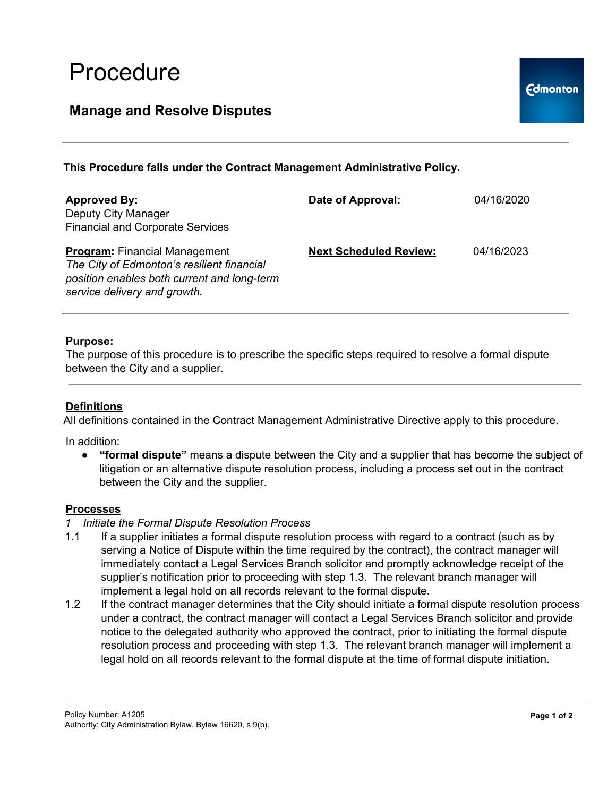# Procedure

## **Manage and Resolve Disputes**

### **This Procedure falls under the Contract Management Administrative Policy.**

| <b>Approved By:</b><br>Deputy City Manager<br><b>Financial and Corporate Services</b>                                                                             | Date of Approval:             | 04/16/2020 |
|-------------------------------------------------------------------------------------------------------------------------------------------------------------------|-------------------------------|------------|
| <b>Program:</b> Financial Management<br>The City of Edmonton's resilient financial<br>position enables both current and long-term<br>service delivery and growth. | <b>Next Scheduled Review:</b> | 04/16/2023 |

#### **Purpose:**

The purpose of this procedure is to prescribe the specific steps required to resolve a formal dispute between the City and a supplier.

#### **Definitions**

All definitions contained in the Contract Management Administrative Directive apply to this procedure.

In addition:

● **"formal dispute"** means a dispute between the City and a supplier that has become the subject of litigation or an alternative dispute resolution process, including a process set out in the contract between the City and the supplier.

#### **Processes**

- *1 Initiate the Formal Dispute Resolution Process*
- 1.1 If a supplier initiates a formal dispute resolution process with regard to a contract (such as by serving a Notice of Dispute within the time required by the contract), the contract manager will immediately contact a Legal Services Branch solicitor and promptly acknowledge receipt of the supplier's notification prior to proceeding with step 1.3. The relevant branch manager will implement a legal hold on all records relevant to the formal dispute.
- 1.2 If the contract manager determines that the City should initiate a formal dispute resolution process under a contract, the contract manager will contact a Legal Services Branch solicitor and provide notice to the delegated authority who approved the contract, prior to initiating the formal dispute resolution process and proceeding with step 1.3. The relevant branch manager will implement a legal hold on all records relevant to the formal dispute at the time of formal dispute initiation.